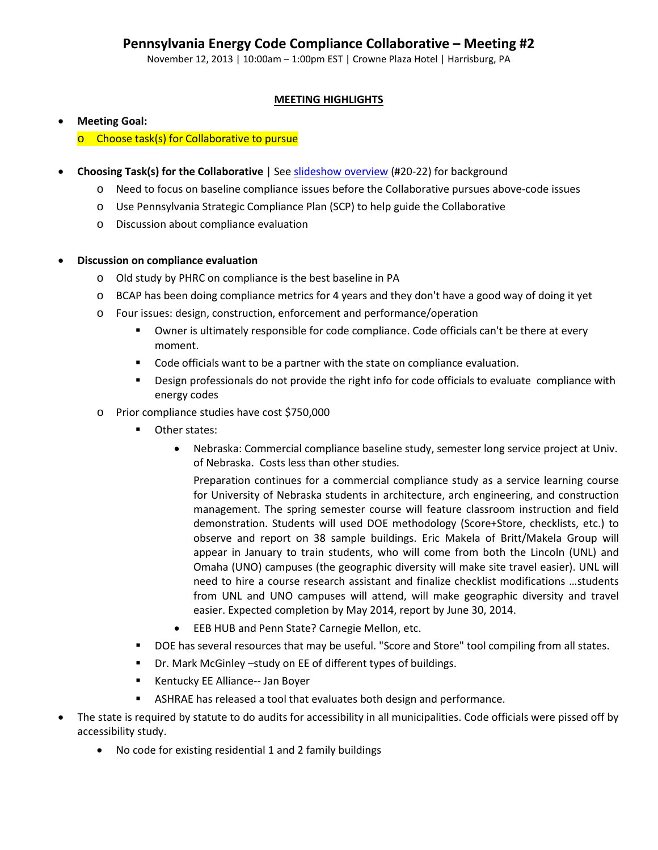November 12, 2013 | 10:00am – 1:00pm EST | Crowne Plaza Hotel | Harrisburg, PA

# **MEETING HIGHLIGHTS**

# • **Meeting Goal:**

o Choose task(s) for Collaborative to pursue

- **Choosing Task(s) for the Collaborative** | See **slideshow overview** (#20-22) for background
	- o Need to focus on baseline compliance issues before the Collaborative pursues above-code issues
	- o Use Pennsylvania Strategic Compliance Plan (SCP) to help guide the Collaborative
	- o Discussion about compliance evaluation
- **Discussion on compliance evaluation**
	- o Old study by PHRC on compliance is the best baseline in PA
	- o BCAP has been doing compliance metrics for 4 years and they don't have a good way of doing it yet
	- o Four issues: design, construction, enforcement and performance/operation
		- Owner is ultimately responsible for code compliance. Code officials can't be there at every moment.
		- **Code officials want to be a partner with the state on compliance evaluation.**
		- **Design professionals do not provide the right info for code officials to evaluate compliance with** energy codes
	- o Prior compliance studies have cost \$750,000
		- **Other states:** 
			- Nebraska: Commercial compliance baseline study, semester long service project at Univ. of Nebraska. Costs less than other studies.

Preparation continues for a commercial compliance study as a service learning course for University of Nebraska students in architecture, arch engineering, and construction management. The spring semester course will feature classroom instruction and field demonstration. Students will used DOE methodology (Score+Store, checklists, etc.) to observe and report on 38 sample buildings. Eric Makela of Britt/Makela Group will appear in January to train students, who will come from both the Lincoln (UNL) and Omaha (UNO) campuses (the geographic diversity will make site travel easier). UNL will need to hire a course research assistant and finalize checklist modifications …students from UNL and UNO campuses will attend, will make geographic diversity and travel easier. Expected completion by May 2014, report by June 30, 2014.

- EEB HUB and Penn State? Carnegie Mellon, etc.
- DOE has several resources that may be useful. "Score and Store" tool compiling from all states.
- Dr. Mark McGinley –study on EE of different types of buildings.
- **Kentucky EE Alliance-- Jan Boyer**
- ASHRAE has released a tool that evaluates both design and performance.
- The state is required by statute to do audits for accessibility in all municipalities. Code officials were pissed off by accessibility study.
	- No code for existing residential 1 and 2 family buildings